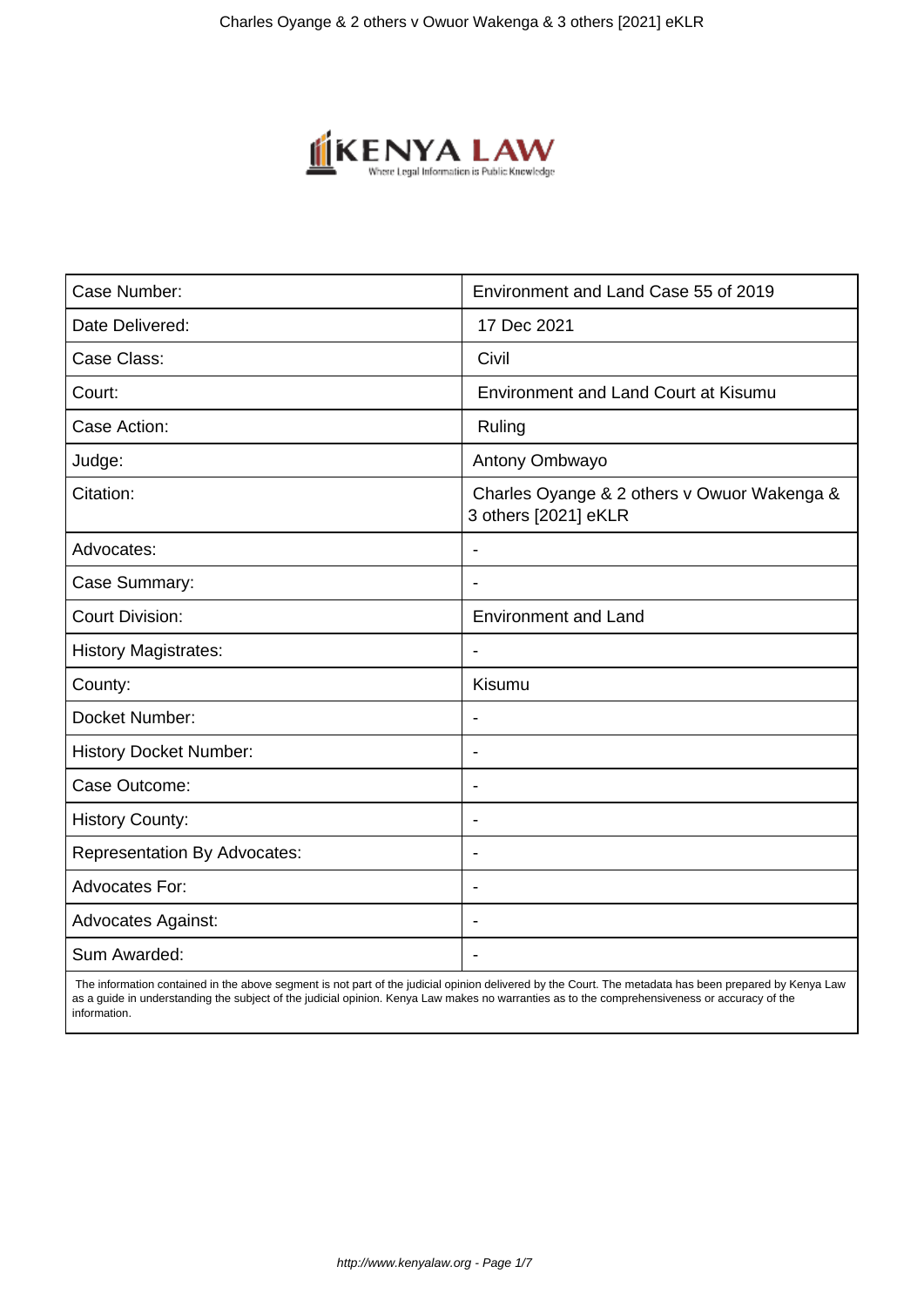

| Case Number:                        | Environment and Land Case 55 of 2019                                |
|-------------------------------------|---------------------------------------------------------------------|
| Date Delivered:                     | 17 Dec 2021                                                         |
| Case Class:                         | Civil                                                               |
| Court:                              | <b>Environment and Land Court at Kisumu</b>                         |
| Case Action:                        | Ruling                                                              |
| Judge:                              | Antony Ombwayo                                                      |
| Citation:                           | Charles Oyange & 2 others v Owuor Wakenga &<br>3 others [2021] eKLR |
| Advocates:                          |                                                                     |
| Case Summary:                       |                                                                     |
| <b>Court Division:</b>              | <b>Environment and Land</b>                                         |
| <b>History Magistrates:</b>         | $\blacksquare$                                                      |
| County:                             | Kisumu                                                              |
| Docket Number:                      |                                                                     |
| <b>History Docket Number:</b>       | $\blacksquare$                                                      |
| Case Outcome:                       |                                                                     |
| <b>History County:</b>              | $\overline{\phantom{a}}$                                            |
| <b>Representation By Advocates:</b> | $\overline{\phantom{0}}$                                            |
| <b>Advocates For:</b>               | $\blacksquare$                                                      |
| <b>Advocates Against:</b>           | $\overline{\phantom{0}}$                                            |
| Sum Awarded:                        |                                                                     |

 The information contained in the above segment is not part of the judicial opinion delivered by the Court. The metadata has been prepared by Kenya Law as a guide in understanding the subject of the judicial opinion. Kenya Law makes no warranties as to the comprehensiveness or accuracy of the information.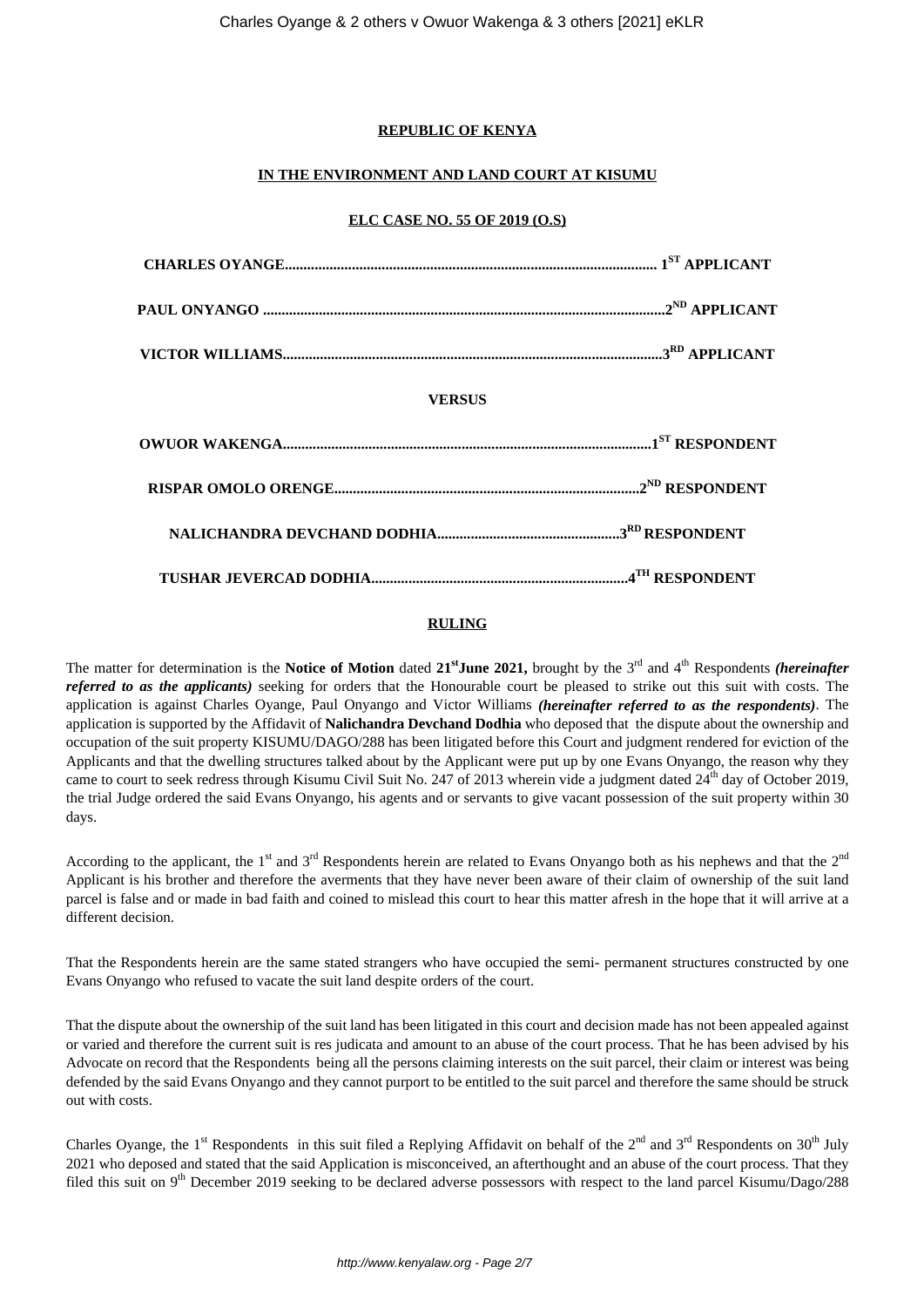### **REPUBLIC OF KENYA**

### **IN THE ENVIRONMENT AND LAND COURT AT KISUMU**

#### **ELC CASE NO. 55 OF 2019 (O.S)**

## **VERSUS**

### **RULING**

The matter for determination is the **Notice of Motion** dated 21<sup>st</sup>**June 2021**, brought by the 3<sup>rd</sup> and 4<sup>th</sup> Respondents *(hereinafter referred to as the applicants)* seeking for orders that the Honourable court be pleased to strike out this suit with costs. The application is against Charles Oyange, Paul Onyango and Victor Williams *(hereinafter referred to as the respondents)*. The application is supported by the Affidavit of **Nalichandra Devchand Dodhia** who deposed that the dispute about the ownership and occupation of the suit property KISUMU/DAGO/288 has been litigated before this Court and judgment rendered for eviction of the Applicants and that the dwelling structures talked about by the Applicant were put up by one Evans Onyango, the reason why they came to court to seek redress through Kisumu Civil Suit No. 247 of 2013 wherein vide a judgment dated  $24<sup>th</sup>$  day of October 2019, the trial Judge ordered the said Evans Onyango, his agents and or servants to give vacant possession of the suit property within 30 days.

According to the applicant, the 1<sup>st</sup> and 3<sup>rd</sup> Respondents herein are related to Evans Onyango both as his nephews and that the 2<sup>nd</sup> Applicant is his brother and therefore the averments that they have never been aware of their claim of ownership of the suit land parcel is false and or made in bad faith and coined to mislead this court to hear this matter afresh in the hope that it will arrive at a different decision.

That the Respondents herein are the same stated strangers who have occupied the semi- permanent structures constructed by one Evans Onyango who refused to vacate the suit land despite orders of the court.

That the dispute about the ownership of the suit land has been litigated in this court and decision made has not been appealed against or varied and therefore the current suit is res judicata and amount to an abuse of the court process. That he has been advised by his Advocate on record that the Respondents being all the persons claiming interests on the suit parcel, their claim or interest was being defended by the said Evans Onyango and they cannot purport to be entitled to the suit parcel and therefore the same should be struck out with costs.

Charles Oyange, the 1<sup>st</sup> Respondents in this suit filed a Replying Affidavit on behalf of the  $2<sup>nd</sup>$  and  $3<sup>rd</sup>$  Respondents on  $30<sup>th</sup>$  July 2021 who deposed and stated that the said Application is misconceived, an afterthought and an abuse of the court process. That they filed this suit on  $9<sup>th</sup>$  December 2019 seeking to be declared adverse possessors with respect to the land parcel Kisumu/Dago/288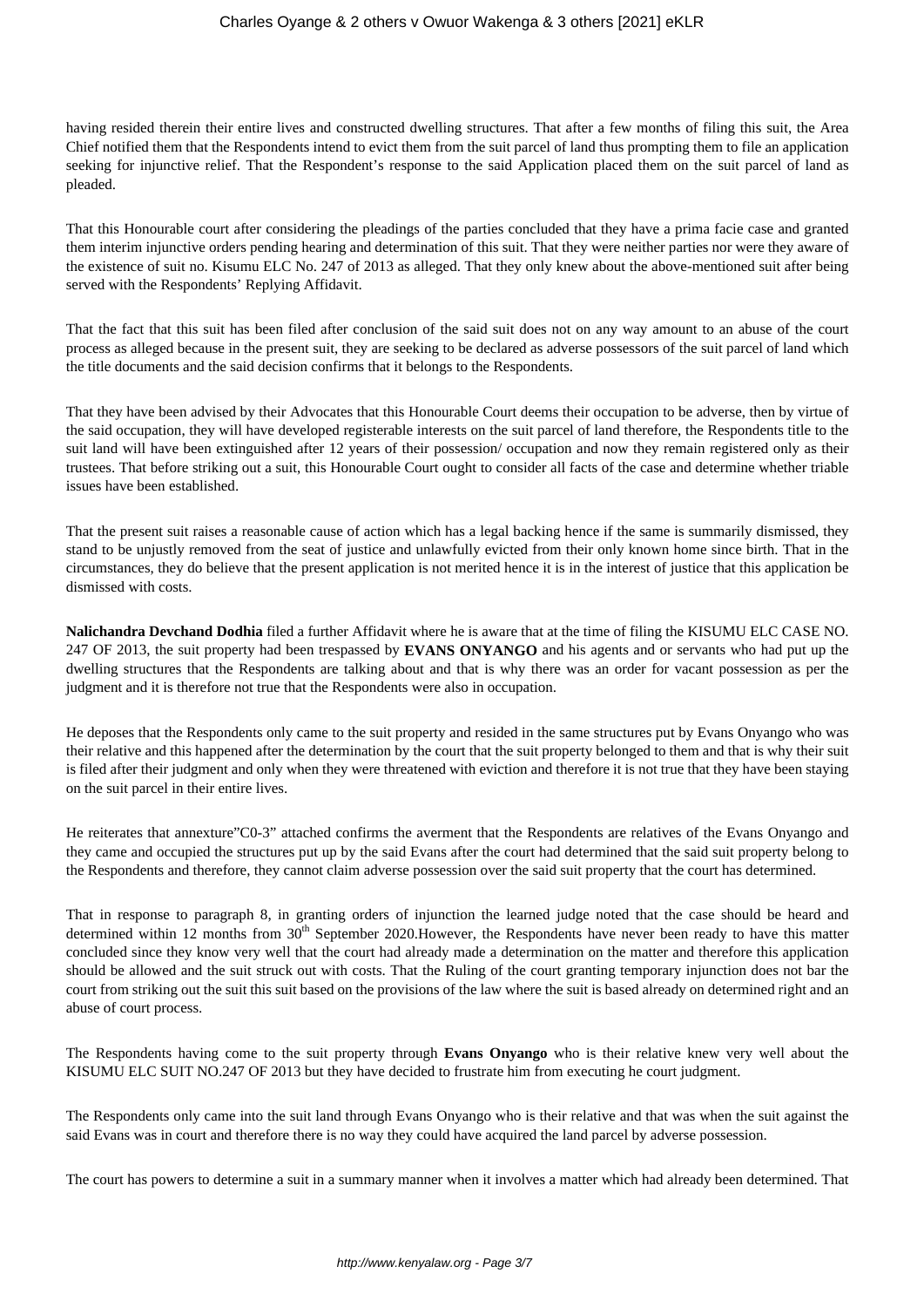having resided therein their entire lives and constructed dwelling structures. That after a few months of filing this suit, the Area Chief notified them that the Respondents intend to evict them from the suit parcel of land thus prompting them to file an application seeking for injunctive relief. That the Respondent's response to the said Application placed them on the suit parcel of land as pleaded.

That this Honourable court after considering the pleadings of the parties concluded that they have a prima facie case and granted them interim injunctive orders pending hearing and determination of this suit. That they were neither parties nor were they aware of the existence of suit no. Kisumu ELC No. 247 of 2013 as alleged. That they only knew about the above-mentioned suit after being served with the Respondents' Replying Affidavit.

That the fact that this suit has been filed after conclusion of the said suit does not on any way amount to an abuse of the court process as alleged because in the present suit, they are seeking to be declared as adverse possessors of the suit parcel of land which the title documents and the said decision confirms that it belongs to the Respondents.

That they have been advised by their Advocates that this Honourable Court deems their occupation to be adverse, then by virtue of the said occupation, they will have developed registerable interests on the suit parcel of land therefore, the Respondents title to the suit land will have been extinguished after 12 years of their possession/ occupation and now they remain registered only as their trustees. That before striking out a suit, this Honourable Court ought to consider all facts of the case and determine whether triable issues have been established.

That the present suit raises a reasonable cause of action which has a legal backing hence if the same is summarily dismissed, they stand to be unjustly removed from the seat of justice and unlawfully evicted from their only known home since birth. That in the circumstances, they do believe that the present application is not merited hence it is in the interest of justice that this application be dismissed with costs.

**Nalichandra Devchand Dodhia** filed a further Affidavit where he is aware that at the time of filing the KISUMU ELC CASE NO. 247 OF 2013, the suit property had been trespassed by **EVANS ONYANGO** and his agents and or servants who had put up the dwelling structures that the Respondents are talking about and that is why there was an order for vacant possession as per the judgment and it is therefore not true that the Respondents were also in occupation.

He deposes that the Respondents only came to the suit property and resided in the same structures put by Evans Onyango who was their relative and this happened after the determination by the court that the suit property belonged to them and that is why their suit is filed after their judgment and only when they were threatened with eviction and therefore it is not true that they have been staying on the suit parcel in their entire lives.

He reiterates that annexture"C0-3" attached confirms the averment that the Respondents are relatives of the Evans Onyango and they came and occupied the structures put up by the said Evans after the court had determined that the said suit property belong to the Respondents and therefore, they cannot claim adverse possession over the said suit property that the court has determined.

That in response to paragraph 8, in granting orders of injunction the learned judge noted that the case should be heard and determined within 12 months from  $30<sup>th</sup>$  September 2020.However, the Respondents have never been ready to have this matter concluded since they know very well that the court had already made a determination on the matter and therefore this application should be allowed and the suit struck out with costs. That the Ruling of the court granting temporary injunction does not bar the court from striking out the suit this suit based on the provisions of the law where the suit is based already on determined right and an abuse of court process.

The Respondents having come to the suit property through **Evans Onyango** who is their relative knew very well about the KISUMU ELC SUIT NO.247 OF 2013 but they have decided to frustrate him from executing he court judgment.

The Respondents only came into the suit land through Evans Onyango who is their relative and that was when the suit against the said Evans was in court and therefore there is no way they could have acquired the land parcel by adverse possession.

The court has powers to determine a suit in a summary manner when it involves a matter which had already been determined. That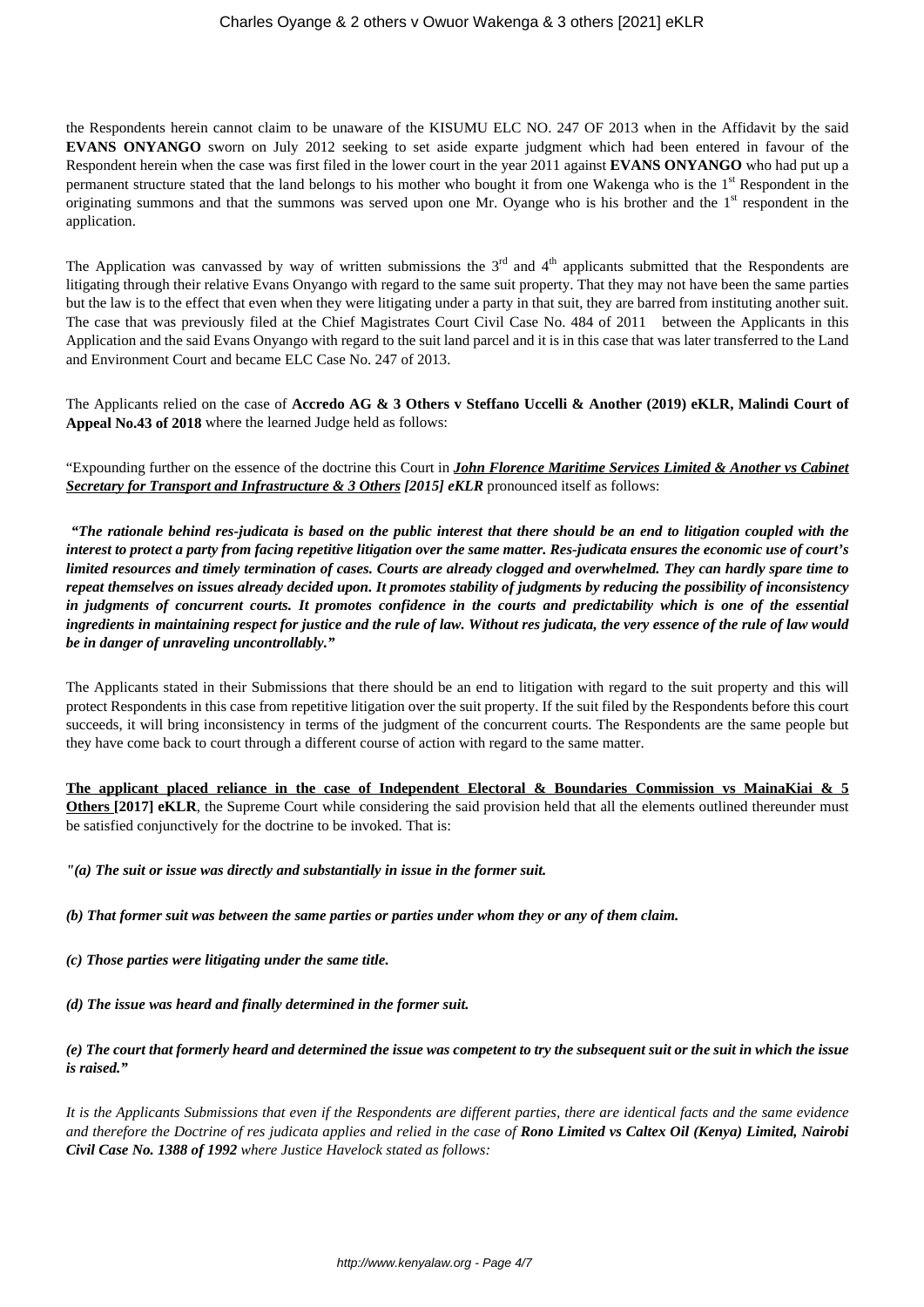the Respondents herein cannot claim to be unaware of the KISUMU ELC NO. 247 OF 2013 when in the Affidavit by the said **EVANS ONYANGO** sworn on July 2012 seeking to set aside exparte judgment which had been entered in favour of the Respondent herein when the case was first filed in the lower court in the year 2011 against **EVANS ONYANGO** who had put up a permanent structure stated that the land belongs to his mother who bought it from one Wakenga who is the 1<sup>st</sup> Respondent in the originating summons and that the summons was served upon one Mr. Oyange who is his brother and the  $1<sup>st</sup>$  respondent in the application.

The Application was canvassed by way of written submissions the  $3<sup>rd</sup>$  and  $4<sup>th</sup>$  applicants submitted that the Respondents are litigating through their relative Evans Onyango with regard to the same suit property. That they may not have been the same parties but the law is to the effect that even when they were litigating under a party in that suit, they are barred from instituting another suit. The case that was previously filed at the Chief Magistrates Court Civil Case No. 484 of 2011 between the Applicants in this Application and the said Evans Onyango with regard to the suit land parcel and it is in this case that was later transferred to the Land and Environment Court and became ELC Case No. 247 of 2013.

The Applicants relied on the case of **Accredo AG & 3 Others v Steffano Uccelli & Another (2019) eKLR, Malindi Court of Appeal No.43 of 2018** where the learned Judge held as follows:

"Expounding further on the essence of the doctrine this Court in *John Florence Maritime Services Limited & Another vs Cabinet Secretary for Transport and Infrastructure & 3 Others [2015] eKLR* pronounced itself as follows:

*"The rationale behind res-judicata is based on the public interest that there should be an end to litigation coupled with the interest to protect a party from facing repetitive litigation over the same matter. Res-judicata ensures the economic use of court's limited resources and timely termination of cases. Courts are already clogged and overwhelmed. They can hardly spare time to repeat themselves on issues already decided upon. It promotes stability of judgments by reducing the possibility of inconsistency in judgments of concurrent courts. It promotes confidence in the courts and predictability which is one of the essential ingredients in maintaining respect for justice and the rule of law. Without res judicata, the very essence of the rule of law would be in danger of unraveling uncontrollably."*

The Applicants stated in their Submissions that there should be an end to litigation with regard to the suit property and this will protect Respondents in this case from repetitive litigation over the suit property. If the suit filed by the Respondents before this court succeeds, it will bring inconsistency in terms of the judgment of the concurrent courts. The Respondents are the same people but they have come back to court through a different course of action with regard to the same matter.

**The applicant placed reliance in the case of Independent Electoral & Boundaries Commission vs MainaKiai & 5 Others** [2017] **eKLR**, the Supreme Court while considering the said provision held that all the elements outlined thereunder must be satisfied conjunctively for the doctrine to be invoked. That is:

*"(a) The suit or issue was directly and substantially in issue in the former suit.*

*(b) That former suit was between the same parties or parties under whom they or any of them claim.*

*(c) Those parties were litigating under the same title.*

*(d) The issue was heard and finally determined in the former suit.*

*(e) The court that formerly heard and determined the issue was competent to try the subsequent suit or the suit in which the issue is raised."*

*It is the Applicants Submissions that even if the Respondents are different parties, there are identical facts and the same evidence and therefore the Doctrine of res judicata applies and relied in the case of Rono Limited vs Caltex Oil (Kenya) Limited, Nairobi Civil Case No. 1388 of 1992 where Justice Havelock stated as follows:*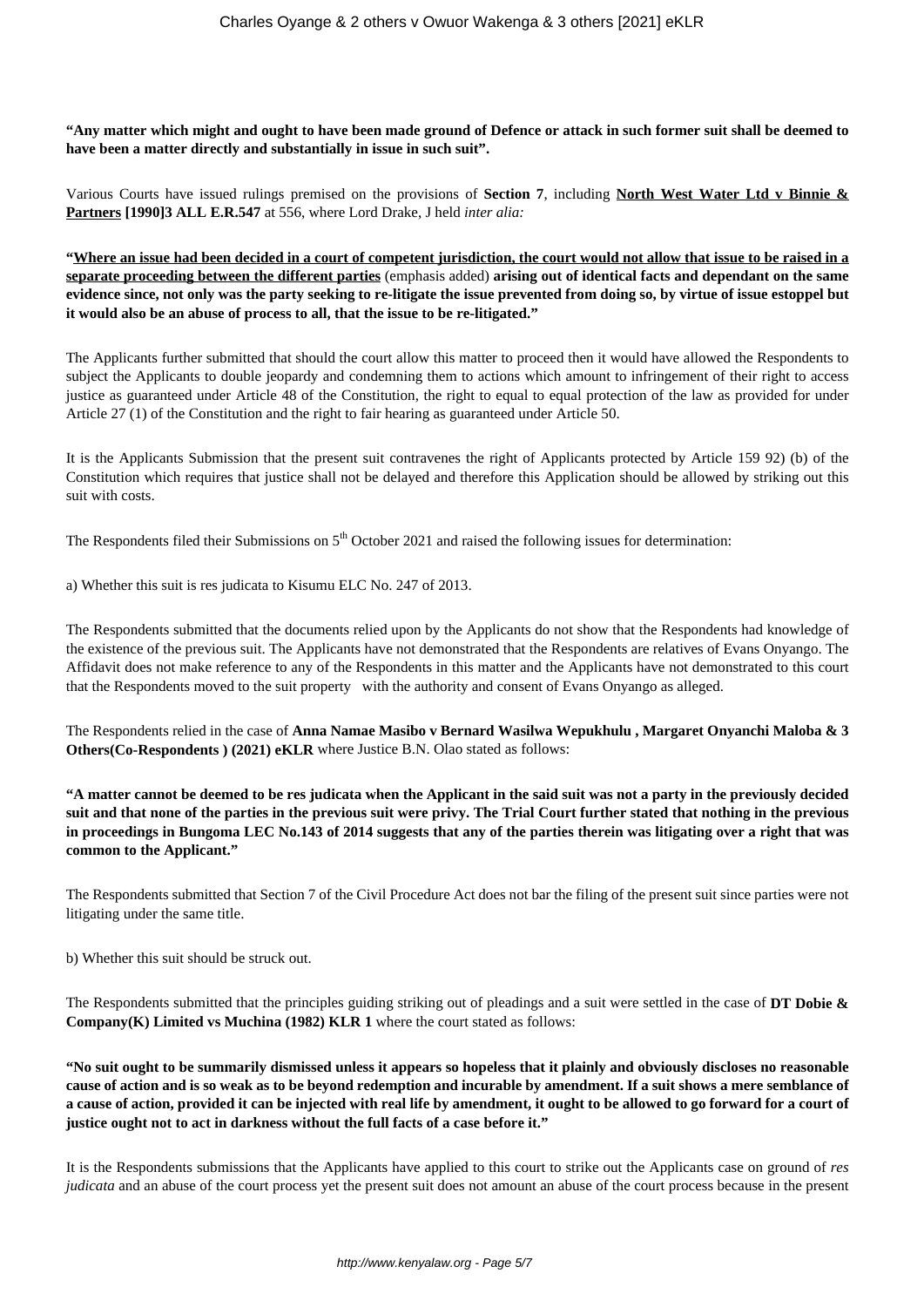**"Any matter which might and ought to have been made ground of Defence or attack in such former suit shall be deemed to have been a matter directly and substantially in issue in such suit".**

Various Courts have issued rulings premised on the provisions of **Section 7**, including **North West Water Ltd v Binnie & Partners [1990]3 ALL E.R.547** at 556, where Lord Drake, J held *inter alia:*

**"Where an issue had been decided in a court of competent jurisdiction, the court would not allow that issue to be raised in a separate proceeding between the different parties** (emphasis added) **arising out of identical facts and dependant on the same evidence since, not only was the party seeking to re-litigate the issue prevented from doing so, by virtue of issue estoppel but it would also be an abuse of process to all, that the issue to be re-litigated."**

The Applicants further submitted that should the court allow this matter to proceed then it would have allowed the Respondents to subject the Applicants to double jeopardy and condemning them to actions which amount to infringement of their right to access justice as guaranteed under Article 48 of the Constitution, the right to equal to equal protection of the law as provided for under Article 27 (1) of the Constitution and the right to fair hearing as guaranteed under Article 50.

It is the Applicants Submission that the present suit contravenes the right of Applicants protected by Article 159 92) (b) of the Constitution which requires that justice shall not be delayed and therefore this Application should be allowed by striking out this suit with costs.

The Respondents filed their Submissions on  $5<sup>th</sup>$  October 2021 and raised the following issues for determination:

a) Whether this suit is res judicata to Kisumu ELC No. 247 of 2013.

The Respondents submitted that the documents relied upon by the Applicants do not show that the Respondents had knowledge of the existence of the previous suit. The Applicants have not demonstrated that the Respondents are relatives of Evans Onyango. The Affidavit does not make reference to any of the Respondents in this matter and the Applicants have not demonstrated to this court that the Respondents moved to the suit property with the authority and consent of Evans Onyango as alleged.

The Respondents relied in the case of **Anna Namae Masibo v Bernard Wasilwa Wepukhulu , Margaret Onyanchi Maloba & 3 Others(Co-Respondents ) (2021) eKLR** where Justice B.N. Olao stated as follows:

**"A matter cannot be deemed to be res judicata when the Applicant in the said suit was not a party in the previously decided suit and that none of the parties in the previous suit were privy. The Trial Court further stated that nothing in the previous in proceedings in Bungoma LEC No.143 of 2014 suggests that any of the parties therein was litigating over a right that was common to the Applicant."**

The Respondents submitted that Section 7 of the Civil Procedure Act does not bar the filing of the present suit since parties were not litigating under the same title.

b) Whether this suit should be struck out.

The Respondents submitted that the principles guiding striking out of pleadings and a suit were settled in the case of **DT Dobie & Company(K) Limited vs Muchina (1982) KLR 1** where the court stated as follows:

**"No suit ought to be summarily dismissed unless it appears so hopeless that it plainly and obviously discloses no reasonable cause of action and is so weak as to be beyond redemption and incurable by amendment. If a suit shows a mere semblance of a cause of action, provided it can be injected with real life by amendment, it ought to be allowed to go forward for a court of justice ought not to act in darkness without the full facts of a case before it."**

It is the Respondents submissions that the Applicants have applied to this court to strike out the Applicants case on ground of *res judicata* and an abuse of the court process yet the present suit does not amount an abuse of the court process because in the present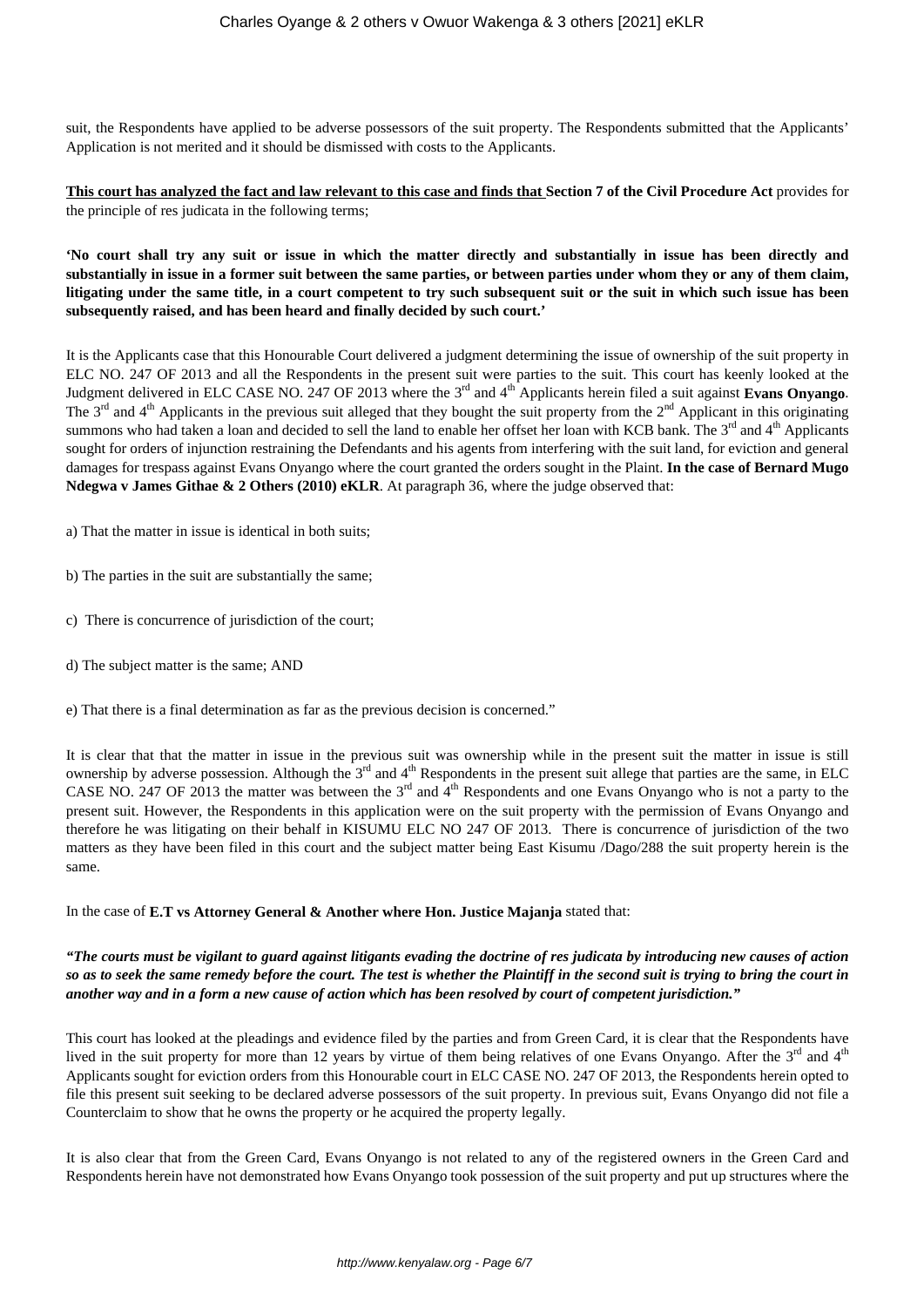suit, the Respondents have applied to be adverse possessors of the suit property. The Respondents submitted that the Applicants' Application is not merited and it should be dismissed with costs to the Applicants.

**This court has analyzed the fact and law relevant to this case and finds that Section 7 of the Civil Procedure Act** provides for the principle of res judicata in the following terms;

**'No court shall try any suit or issue in which the matter directly and substantially in issue has been directly and substantially in issue in a former suit between the same parties, or between parties under whom they or any of them claim, litigating under the same title, in a court competent to try such subsequent suit or the suit in which such issue has been subsequently raised, and has been heard and finally decided by such court.'**

It is the Applicants case that this Honourable Court delivered a judgment determining the issue of ownership of the suit property in ELC NO. 247 OF 2013 and all the Respondents in the present suit were parties to the suit. This court has keenly looked at the Judgment delivered in ELC CASE NO. 247 OF 2013 where the 3rd and 4th Applicants herein filed a suit against **Evans Onyango**. The  $3^{rd}$  and  $4^{th}$  Applicants in the previous suit alleged that they bought the suit property from the  $2^{nd}$  Applicant in this originating summons who had taken a loan and decided to sell the land to enable her offset her loan with KCB bank. The 3<sup>rd</sup> and 4<sup>th</sup> Applicants sought for orders of injunction restraining the Defendants and his agents from interfering with the suit land, for eviction and general damages for trespass against Evans Onyango where the court granted the orders sought in the Plaint. **In the case of Bernard Mugo Ndegwa v James Githae & 2 Others (2010) eKLR**. At paragraph 36, where the judge observed that:

a) That the matter in issue is identical in both suits;

- b) The parties in the suit are substantially the same;
- c) There is concurrence of jurisdiction of the court;
- d) The subject matter is the same; AND
- e) That there is a final determination as far as the previous decision is concerned."

It is clear that that the matter in issue in the previous suit was ownership while in the present suit the matter in issue is still ownership by adverse possession. Although the  $3<sup>rd</sup>$  and  $4<sup>th</sup>$  Respondents in the present suit allege that parties are the same, in ELC CASE NO. 247 OF 2013 the matter was between the  $3<sup>rd</sup>$  and  $4<sup>th</sup>$  Respondents and one Evans Onyango who is not a party to the present suit. However, the Respondents in this application were on the suit property with the permission of Evans Onyango and therefore he was litigating on their behalf in KISUMU ELC NO 247 OF 2013. There is concurrence of jurisdiction of the two matters as they have been filed in this court and the subject matter being East Kisumu /Dago/288 the suit property herein is the same.

#### In the case of **E.T vs Attorney General & Another where Hon. Justice Majanja** stated that:

#### *"The courts must be vigilant to guard against litigants evading the doctrine of res judicata by introducing new causes of action so as to seek the same remedy before the court. The test is whether the Plaintiff in the second suit is trying to bring the court in another way and in a form a new cause of action which has been resolved by court of competent jurisdiction."*

This court has looked at the pleadings and evidence filed by the parties and from Green Card, it is clear that the Respondents have lived in the suit property for more than 12 years by virtue of them being relatives of one Evans Onyango. After the 3<sup>rd</sup> and 4<sup>th</sup> Applicants sought for eviction orders from this Honourable court in ELC CASE NO. 247 OF 2013, the Respondents herein opted to file this present suit seeking to be declared adverse possessors of the suit property. In previous suit, Evans Onyango did not file a Counterclaim to show that he owns the property or he acquired the property legally.

It is also clear that from the Green Card, Evans Onyango is not related to any of the registered owners in the Green Card and Respondents herein have not demonstrated how Evans Onyango took possession of the suit property and put up structures where the